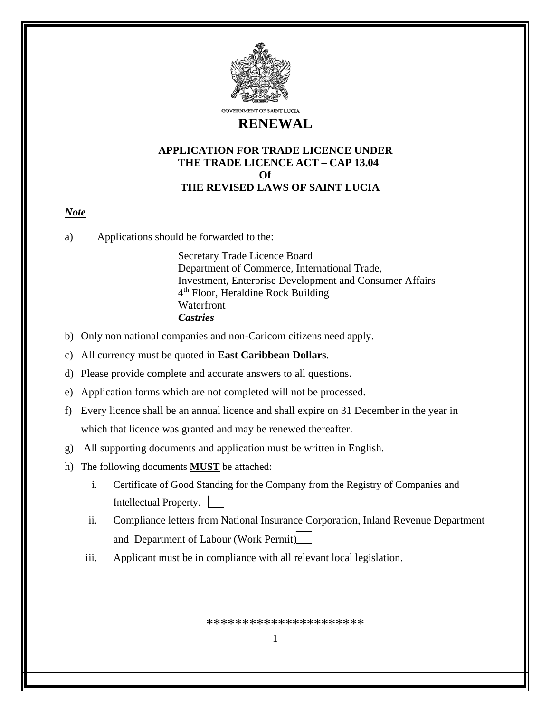

**GOVERNMENT OF SAINT LUCIA** 

# **RENEWAL**

### **APPLICATION FOR TRADE LICENCE UNDER THE TRADE LICENCE ACT – CAP 13.04 Of THE REVISED LAWS OF SAINT LUCIA**

## *Note*

a) Applications should be forwarded to the:

Secretary Trade Licence Board Department of Commerce, International Trade, Investment, Enterprise Development and Consumer Affairs 4<sup>th</sup> Floor, Heraldine Rock Building **Waterfront** *Castries*

- b) Only non national companies and non-Caricom citizens need apply.
- c) All currency must be quoted in **East Caribbean Dollars**.
- d) Please provide complete and accurate answers to all questions.
- e) Application forms which are not completed will not be processed.
- f) Every licence shall be an annual licence and shall expire on 31 December in the year in which that licence was granted and may be renewed thereafter.
- g) All supporting documents and application must be written in English.
- h) The following documents **MUST** be attached:
	- i. Certificate of Good Standing for the Company from the Registry of Companies and Intellectual Property.
	- ii. Compliance letters from National Insurance Corporation, Inland Revenue Department and Department of Labour (Work Permit)
	- iii. Applicant must be in compliance with all relevant local legislation.

\*\*\*\*\*\*\*\*\*\*\*\*\*\*\*\*\*\*\*\*\*\*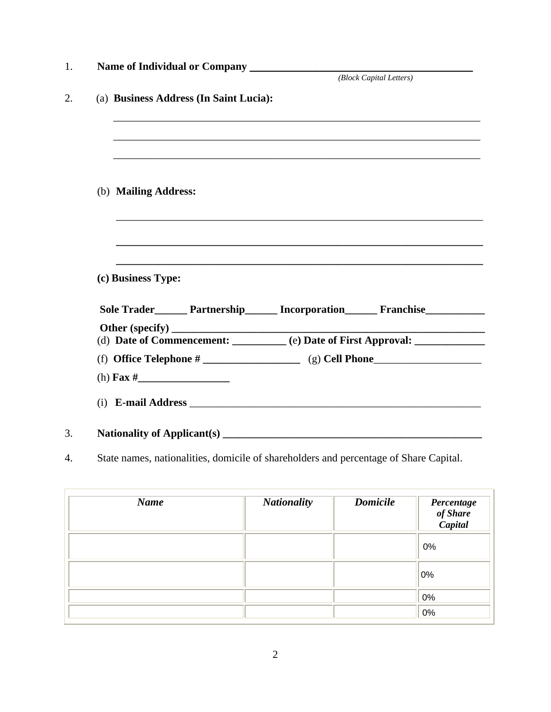|                                                                                                                       | (Block Capital Letters) |
|-----------------------------------------------------------------------------------------------------------------------|-------------------------|
| (a) Business Address (In Saint Lucia):                                                                                |                         |
|                                                                                                                       |                         |
|                                                                                                                       |                         |
| (b) Mailing Address:                                                                                                  |                         |
| <u> 1989 - Johann Stoff, deutscher Stoff, der Stoff, der Stoff, der Stoff, der Stoff, der Stoff, der Stoff, der S</u> |                         |
| ,我们也不能在这里的时候,我们也不能在这里的时候,我们也不能在这里的时候,我们也不能会在这里的时候,我们也不能会在这里的时候,我们也不能会在这里的时候,我们也不能                                     |                         |
| (c) Business Type:                                                                                                    |                         |
| Sole Trader________ Partnership________ Incorporation________ Franchise__________                                     |                         |
|                                                                                                                       |                         |
| (d) Date of Commencement: _______ (e) Date of First Approval: ___________                                             |                         |
|                                                                                                                       |                         |
|                                                                                                                       |                         |
|                                                                                                                       |                         |
| Nationality of Applicant(s) ____                                                                                      |                         |

4. State names, nationalities, domicile of shareholders and percentage of Share Capital.

| <b>Name</b> | <b>Nationality</b> | <b>Domicile</b> | Percentage<br>of Share<br>Capital |
|-------------|--------------------|-----------------|-----------------------------------|
|             |                    |                 | 0%                                |
|             |                    |                 | 0%                                |
|             |                    |                 | 0%                                |
|             |                    |                 | 0%                                |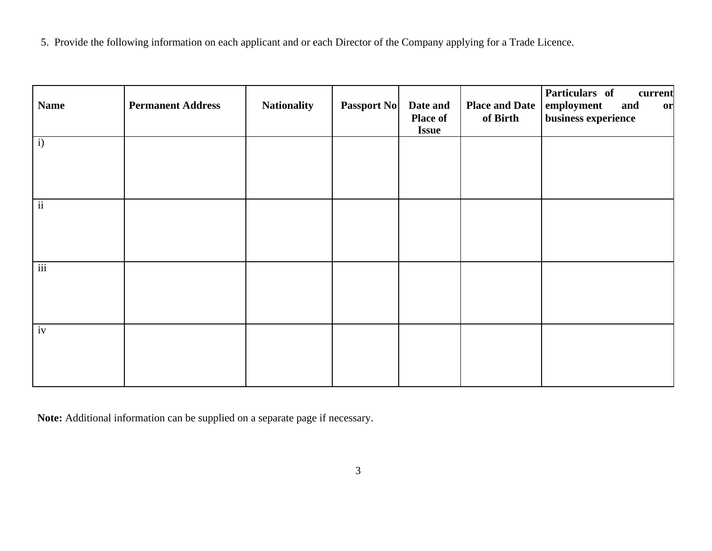5. Provide the following information on each applicant and or each Director of the Company applying for a Trade Licence.

| <b>Name</b>              | <b>Permanent Address</b> | <b>Nationality</b> | <b>Passport No</b> | Date and<br><b>Place of</b><br><b>Issue</b> | <b>Place and Date</b><br>of Birth | Particulars of<br>current<br>employment<br>and<br>or<br>business experience |
|--------------------------|--------------------------|--------------------|--------------------|---------------------------------------------|-----------------------------------|-----------------------------------------------------------------------------|
| i)                       |                          |                    |                    |                                             |                                   |                                                                             |
| $\overline{\textbf{ii}}$ |                          |                    |                    |                                             |                                   |                                                                             |
| $\overline{\text{iii}}$  |                          |                    |                    |                                             |                                   |                                                                             |
| $\overline{i}$           |                          |                    |                    |                                             |                                   |                                                                             |

**Note:** Additional information can be supplied on a separate page if necessary.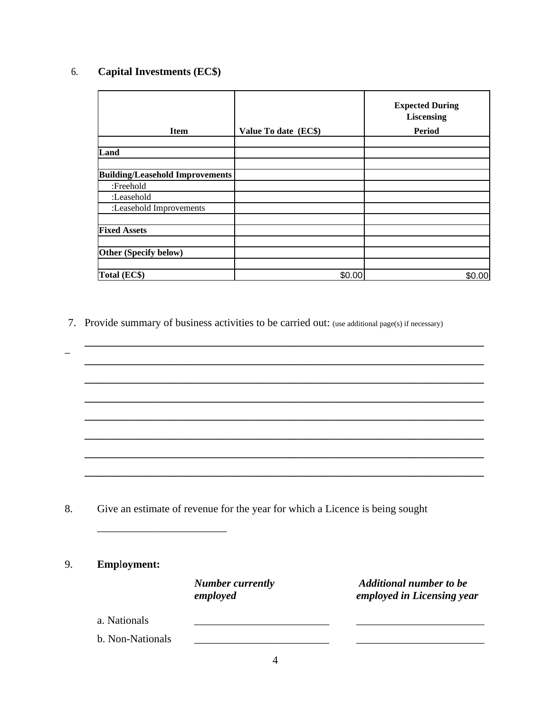# 6. **Capital Investments (EC\$)**

| <b>Item</b>                            | Value To date (EC\$) | <b>Expected During</b><br>Liscensing<br>Period |
|----------------------------------------|----------------------|------------------------------------------------|
|                                        |                      |                                                |
| Land                                   |                      |                                                |
|                                        |                      |                                                |
| <b>Building/Leasehold Improvements</b> |                      |                                                |
| :Freehold                              |                      |                                                |
| :Leasehold                             |                      |                                                |
| :Leasehold Improvements                |                      |                                                |
| <b>Fixed Assets</b>                    |                      |                                                |
|                                        |                      |                                                |
| Other (Specify below)                  |                      |                                                |
| Total (EC\$)                           | \$0.00               |                                                |

7. Provide summary of business activities to be carried out: (use additional page(s) if necessary)

**\_\_\_\_\_\_\_\_\_\_\_\_\_\_\_\_\_\_\_\_\_\_\_\_\_\_\_\_\_\_\_\_\_\_\_\_\_\_\_\_\_\_\_\_\_\_\_\_\_\_\_\_\_\_\_\_\_\_\_\_\_\_\_\_\_\_\_\_\_\_\_\_\_\_** \_ **\_\_\_\_\_\_\_\_\_\_\_\_\_\_\_\_\_\_\_\_\_\_\_\_\_\_\_\_\_\_\_\_\_\_\_\_\_\_\_\_\_\_\_\_\_\_\_\_\_\_\_\_\_\_\_\_\_\_\_\_\_\_\_\_\_\_\_\_\_\_\_\_\_\_** 

**\_\_\_\_\_\_\_\_\_\_\_\_\_\_\_\_\_\_\_\_\_\_\_\_\_\_\_\_\_\_\_\_\_\_\_\_\_\_\_\_\_\_\_\_\_\_\_\_\_\_\_\_\_\_\_\_\_\_\_\_\_\_\_\_\_\_\_\_\_\_\_\_\_\_** 

**\_\_\_\_\_\_\_\_\_\_\_\_\_\_\_\_\_\_\_\_\_\_\_\_\_\_\_\_\_\_\_\_\_\_\_\_\_\_\_\_\_\_\_\_\_\_\_\_\_\_\_\_\_\_\_\_\_\_\_\_\_\_\_\_\_\_\_\_\_\_\_\_\_\_** 

**\_\_\_\_\_\_\_\_\_\_\_\_\_\_\_\_\_\_\_\_\_\_\_\_\_\_\_\_\_\_\_\_\_\_\_\_\_\_\_\_\_\_\_\_\_\_\_\_\_\_\_\_\_\_\_\_\_\_\_\_\_\_\_\_\_\_\_\_\_\_\_\_\_\_** 

**\_\_\_\_\_\_\_\_\_\_\_\_\_\_\_\_\_\_\_\_\_\_\_\_\_\_\_\_\_\_\_\_\_\_\_\_\_\_\_\_\_\_\_\_\_\_\_\_\_\_\_\_\_\_\_\_\_\_\_\_\_\_\_\_\_\_\_\_\_\_\_\_\_\_** 

**\_\_\_\_\_\_\_\_\_\_\_\_\_\_\_\_\_\_\_\_\_\_\_\_\_\_\_\_\_\_\_\_\_\_\_\_\_\_\_\_\_\_\_\_\_\_\_\_\_\_\_\_\_\_\_\_\_\_\_\_\_\_\_\_\_\_\_\_\_\_\_\_\_\_** 

**\_\_\_\_\_\_\_\_\_\_\_\_\_\_\_\_\_\_\_\_\_\_\_\_\_\_\_\_\_\_\_\_\_\_\_\_\_\_\_\_\_\_\_\_\_\_\_\_\_\_\_\_\_\_\_\_\_\_\_\_\_\_\_\_\_\_\_\_\_\_\_\_\_\_** 

8. Give an estimate of revenue for the year for which a Licence is being sought

#### 9. **Emp**l**oyment:**

| <b>Number currently</b> | <b>Additional number to be</b> |
|-------------------------|--------------------------------|
| employed                | employed in Licensing year     |
|                         |                                |

- a. Nationals
- b. Non-Nationals

\_\_\_\_\_\_\_\_\_\_\_\_\_\_\_\_\_\_\_\_\_\_\_\_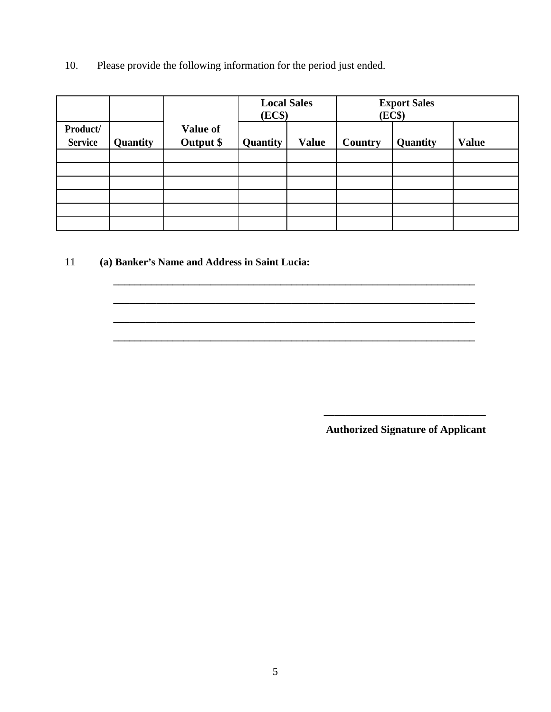10. Please provide the following information for the period just ended.

|                            |          |                              | <b>Local Sales</b><br>(EC\$) |              | <b>Export Sales</b><br>(EC\$) |          |              |
|----------------------------|----------|------------------------------|------------------------------|--------------|-------------------------------|----------|--------------|
| Product/<br><b>Service</b> | Quantity | <b>Value of</b><br>Output \$ | Quantity                     | <b>Value</b> | Country                       | Quantity | <b>Value</b> |
|                            |          |                              |                              |              |                               |          |              |
|                            |          |                              |                              |              |                               |          |              |
|                            |          |                              |                              |              |                               |          |              |
|                            |          |                              |                              |              |                               |          |              |
|                            |          |                              |                              |              |                               |          |              |
|                            |          |                              |                              |              |                               |          |              |

**\_\_\_\_\_\_\_\_\_\_\_\_\_\_\_\_\_\_\_\_\_\_\_\_\_\_\_\_\_\_\_\_\_\_\_\_\_\_\_\_\_\_\_\_\_\_\_\_\_\_\_\_\_\_\_\_\_\_\_\_\_\_\_\_\_\_\_** 

**\_\_\_\_\_\_\_\_\_\_\_\_\_\_\_\_\_\_\_\_\_\_\_\_\_\_\_\_\_\_\_\_\_\_\_\_\_\_\_\_\_\_\_\_\_\_\_\_\_\_\_\_\_\_\_\_\_\_\_\_\_\_\_\_\_\_\_** 

**\_\_\_\_\_\_\_\_\_\_\_\_\_\_\_\_\_\_\_\_\_\_\_\_\_\_\_\_\_\_\_\_\_\_\_\_\_\_\_\_\_\_\_\_\_\_\_\_\_\_\_\_\_\_\_\_\_\_\_\_\_\_\_\_\_\_\_** 

**\_\_\_\_\_\_\_\_\_\_\_\_\_\_\_\_\_\_\_\_\_\_\_\_\_\_\_\_\_\_\_\_\_\_\_\_\_\_\_\_\_\_\_\_\_\_\_\_\_\_\_\_\_\_\_\_\_\_\_\_\_\_\_\_\_\_\_** 

11 **(a) Banker's Name and Address in Saint Lucia:** 

**Authorized Signature of Applicant**

**\_\_\_\_\_\_\_\_\_\_\_\_\_\_\_\_\_\_\_\_\_\_\_\_\_\_\_\_\_\_**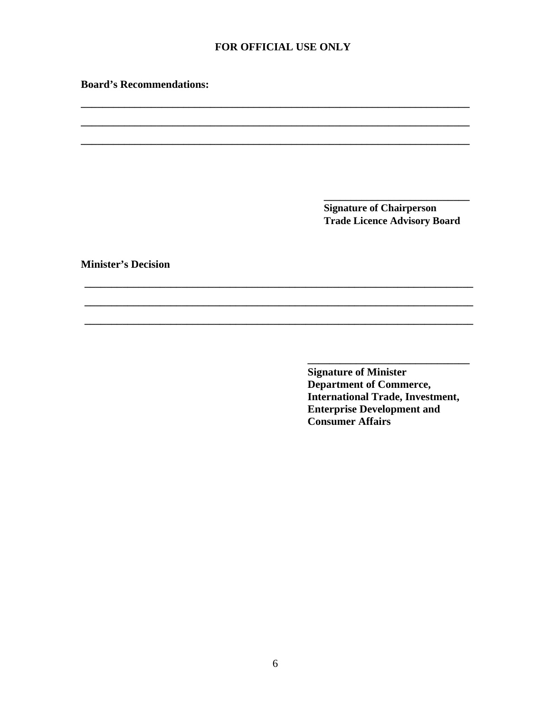#### FOR OFFICIAL USE ONLY

**Board's Recommendations:** 

**Signature of Chairperson Trade Licence Advisory Board** 

**Minister's Decision** 

**Signature of Minister** Department of Commerce, **International Trade, Investment, Enterprise Development and Consumer Affairs** 

 $\overline{\phantom{0}}$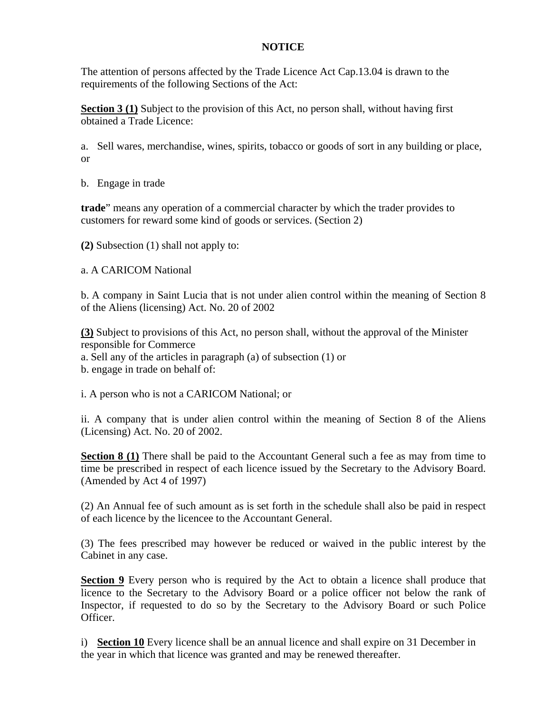### **NOTICE**

The attention of persons affected by the Trade Licence Act Cap.13.04 is drawn to the requirements of the following Sections of the Act:

**Section 3 (1)** Subject to the provision of this Act, no person shall, without having first obtained a Trade Licence:

a. Sell wares, merchandise, wines, spirits, tobacco or goods of sort in any building or place, or

b. Engage in trade

**trade**" means any operation of a commercial character by which the trader provides to customers for reward some kind of goods or services. (Section 2)

**(2)** Subsection (1) shall not apply to:

a. A CARICOM National

b. A company in Saint Lucia that is not under alien control within the meaning of Section 8 of the Aliens (licensing) Act. No. 20 of 2002

**(3)** Subject to provisions of this Act, no person shall, without the approval of the Minister responsible for Commerce

a. Sell any of the articles in paragraph (a) of subsection (1) or

b. engage in trade on behalf of:

i. A person who is not a CARICOM National; or

ii. A company that is under alien control within the meaning of Section 8 of the Aliens (Licensing) Act. No. 20 of 2002.

**Section 8 (1)** There shall be paid to the Accountant General such a fee as may from time to time be prescribed in respect of each licence issued by the Secretary to the Advisory Board. (Amended by Act 4 of 1997)

(2) An Annual fee of such amount as is set forth in the schedule shall also be paid in respect of each licence by the licencee to the Accountant General.

(3) The fees prescribed may however be reduced or waived in the public interest by the Cabinet in any case.

**Section 9** Every person who is required by the Act to obtain a licence shall produce that licence to the Secretary to the Advisory Board or a police officer not below the rank of Inspector, if requested to do so by the Secretary to the Advisory Board or such Police Officer.

i) **Section 10** Every licence shall be an annual licence and shall expire on 31 December in the year in which that licence was granted and may be renewed thereafter.